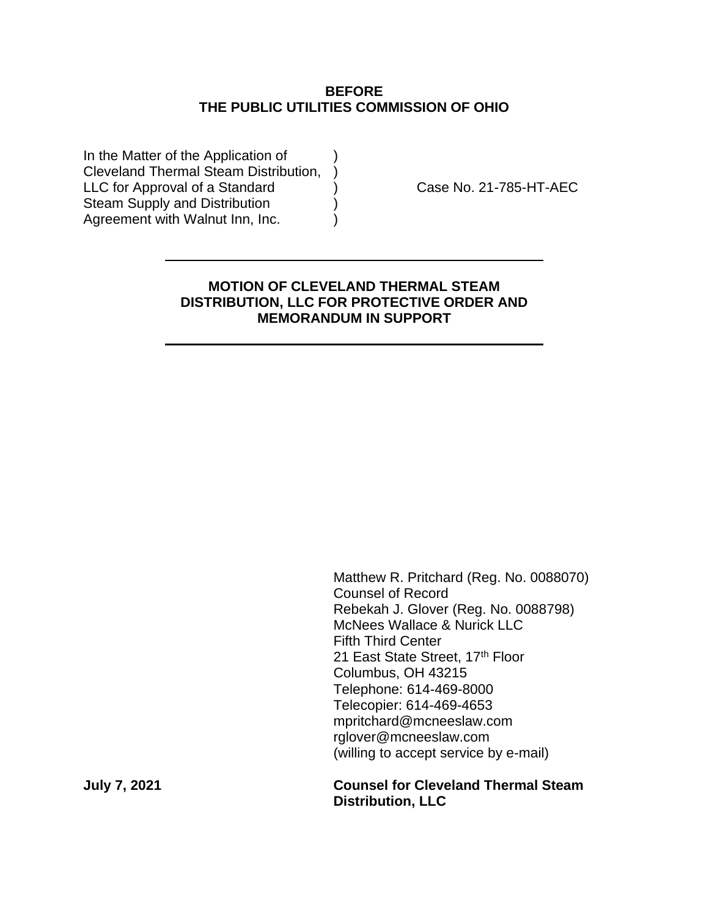### **BEFORE THE PUBLIC UTILITIES COMMISSION OF OHIO**

In the Matter of the Application of Cleveland Thermal Steam Distribution, ) LLC for Approval of a Standard ) Case No. 21-785-HT-AEC Steam Supply and Distribution (1) Agreement with Walnut Inn, Inc.  $\qquad)$ 

## **MOTION OF CLEVELAND THERMAL STEAM DISTRIBUTION, LLC FOR PROTECTIVE ORDER AND MEMORANDUM IN SUPPORT**

Matthew R. Pritchard (Reg. No. 0088070) Counsel of Record Rebekah J. Glover (Reg. No. 0088798) McNees Wallace & Nurick LLC Fifth Third Center 21 East State Street, 17th Floor Columbus, OH 43215 Telephone: 614-469-8000 Telecopier: 614-469-4653 mpritchard@mcneeslaw.com rglover@mcneeslaw.com (willing to accept service by e-mail)

**July 7, 2021 Counsel for Cleveland Thermal Steam Distribution, LLC**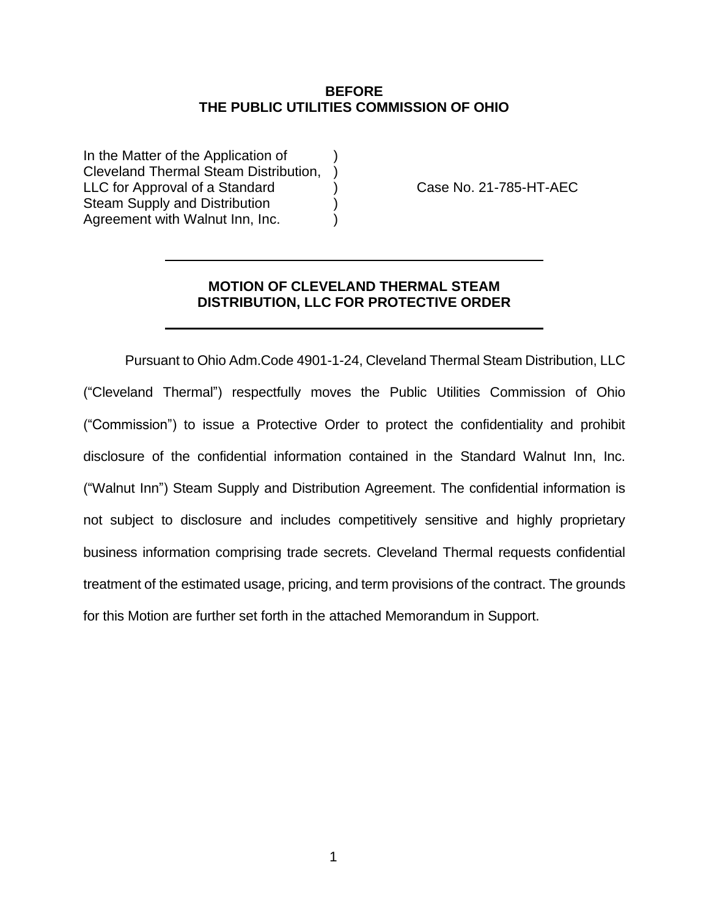### **BEFORE THE PUBLIC UTILITIES COMMISSION OF OHIO**

In the Matter of the Application of Cleveland Thermal Steam Distribution, ) LLC for Approval of a Standard ) Case No. 21-785-HT-AEC Steam Supply and Distribution ) Agreement with Walnut Inn, Inc.

# **MOTION OF CLEVELAND THERMAL STEAM DISTRIBUTION, LLC FOR PROTECTIVE ORDER**

Pursuant to Ohio Adm.Code 4901-1-24, Cleveland Thermal Steam Distribution, LLC ("Cleveland Thermal") respectfully moves the Public Utilities Commission of Ohio ("Commission") to issue a Protective Order to protect the confidentiality and prohibit disclosure of the confidential information contained in the Standard Walnut Inn, Inc. ("Walnut Inn") Steam Supply and Distribution Agreement. The confidential information is not subject to disclosure and includes competitively sensitive and highly proprietary business information comprising trade secrets. Cleveland Thermal requests confidential treatment of the estimated usage, pricing, and term provisions of the contract. The grounds for this Motion are further set forth in the attached Memorandum in Support.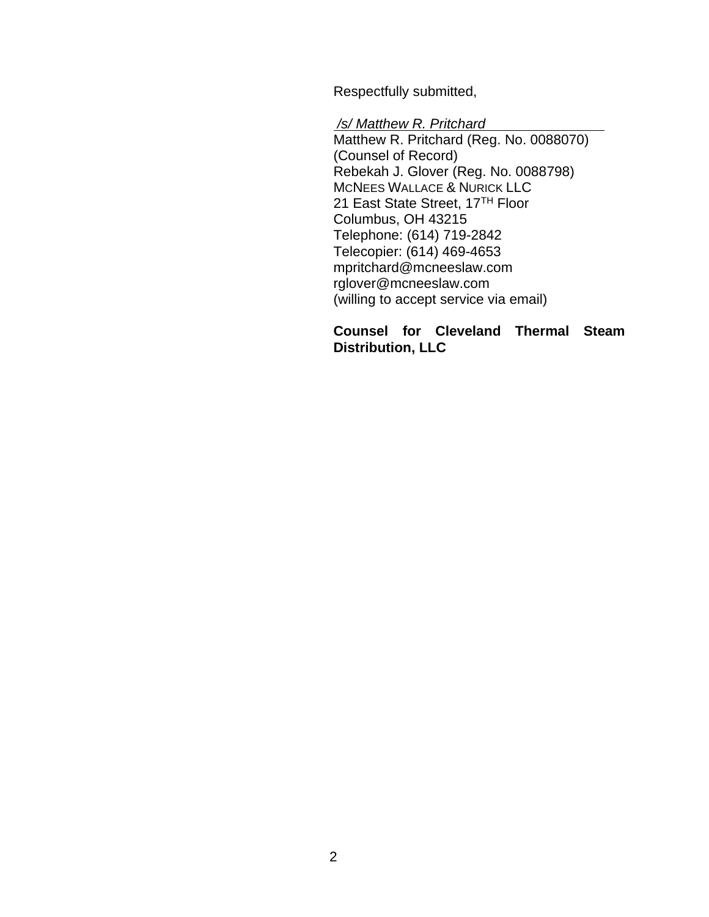Respectfully submitted,

*/s/ Matthew R. Pritchard*

Matthew R. Pritchard (Reg. No. 0088070) (Counsel of Record) Rebekah J. Glover (Reg. No. 0088798) MCNEES WALLACE & NURICK LLC 21 East State Street, 17<sup>TH</sup> Floor Columbus, OH 43215 Telephone: (614) 719-2842 Telecopier: (614) 469-4653 mpritchard@mcneeslaw.com rglover@mcneeslaw.com (willing to accept service via email)

## **Counsel for Cleveland Thermal Steam Distribution, LLC**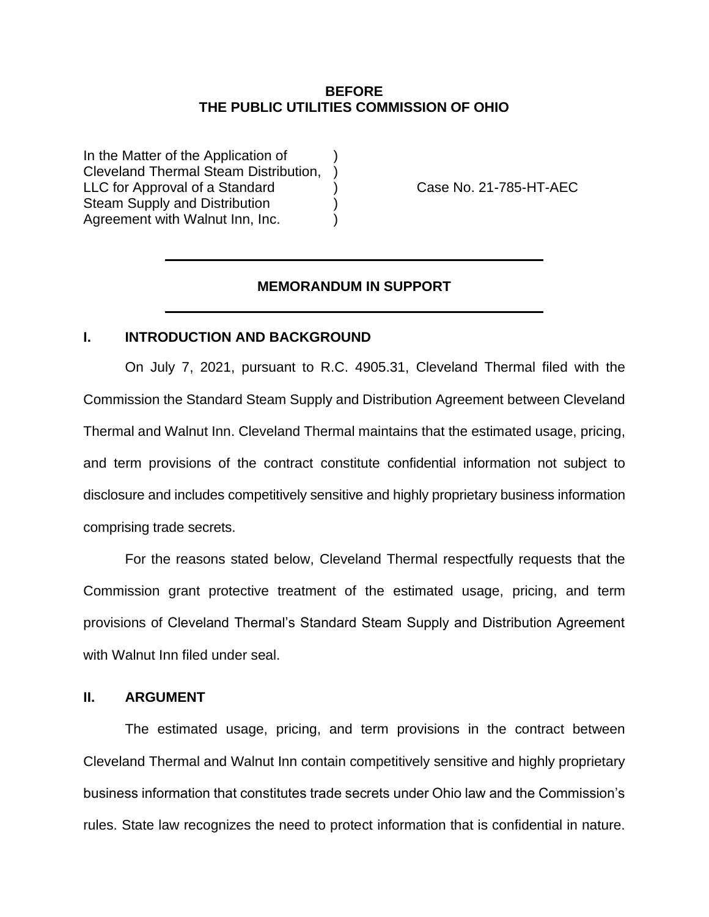### **BEFORE THE PUBLIC UTILITIES COMMISSION OF OHIO**

In the Matter of the Application of Cleveland Thermal Steam Distribution, ) LLC for Approval of a Standard ) Case No. 21-785-HT-AEC Steam Supply and Distribution Agreement with Walnut Inn, Inc.

### **MEMORANDUM IN SUPPORT**

#### **I. INTRODUCTION AND BACKGROUND**

On July 7, 2021, pursuant to R.C. 4905.31, Cleveland Thermal filed with the Commission the Standard Steam Supply and Distribution Agreement between Cleveland Thermal and Walnut Inn. Cleveland Thermal maintains that the estimated usage, pricing, and term provisions of the contract constitute confidential information not subject to disclosure and includes competitively sensitive and highly proprietary business information comprising trade secrets.

For the reasons stated below, Cleveland Thermal respectfully requests that the Commission grant protective treatment of the estimated usage, pricing, and term provisions of Cleveland Thermal's Standard Steam Supply and Distribution Agreement with Walnut Inn filed under seal.

#### **II. ARGUMENT**

The estimated usage, pricing, and term provisions in the contract between Cleveland Thermal and Walnut Inn contain competitively sensitive and highly proprietary business information that constitutes trade secrets under Ohio law and the Commission's rules. State law recognizes the need to protect information that is confidential in nature.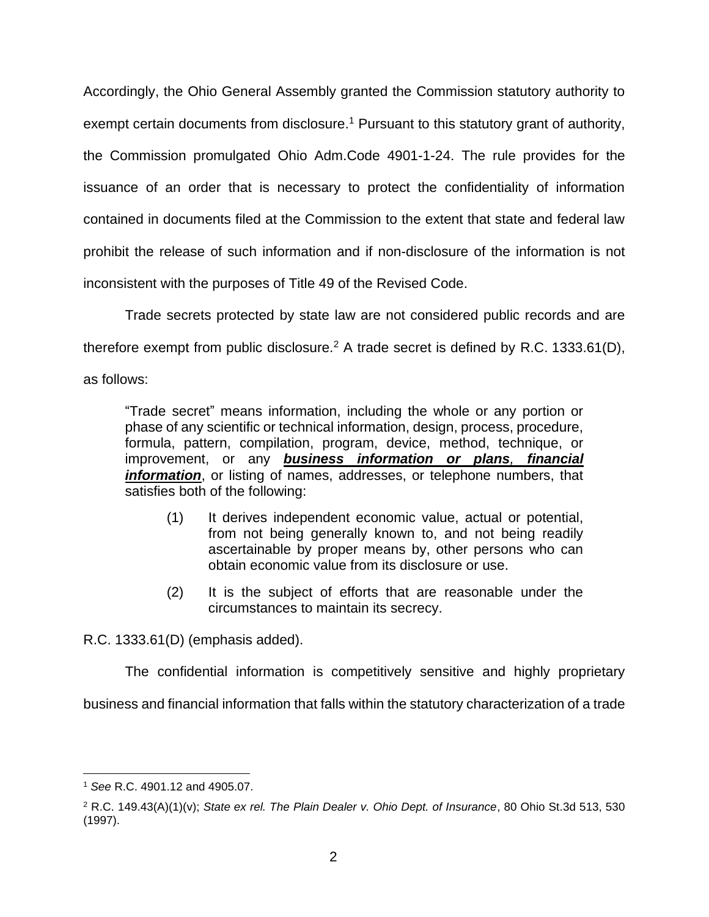Accordingly, the Ohio General Assembly granted the Commission statutory authority to exempt certain documents from disclosure.<sup>1</sup> Pursuant to this statutory grant of authority, the Commission promulgated Ohio Adm.Code 4901-1-24. The rule provides for the issuance of an order that is necessary to protect the confidentiality of information contained in documents filed at the Commission to the extent that state and federal law prohibit the release of such information and if non-disclosure of the information is not inconsistent with the purposes of Title 49 of the Revised Code.

Trade secrets protected by state law are not considered public records and are therefore exempt from public disclosure.<sup>2</sup> A trade secret is defined by R.C. 1333.61(D), as follows:

"Trade secret" means information, including the whole or any portion or phase of any scientific or technical information, design, process, procedure, formula, pattern, compilation, program, device, method, technique, or improvement, or any *business information or plans, financial information*, or listing of names, addresses, or telephone numbers, that satisfies both of the following:

- (1) It derives independent economic value, actual or potential, from not being generally known to, and not being readily ascertainable by proper means by, other persons who can obtain economic value from its disclosure or use.
- (2) It is the subject of efforts that are reasonable under the circumstances to maintain its secrecy.

R.C. 1333.61(D) (emphasis added).

The confidential information is competitively sensitive and highly proprietary

business and financial information that falls within the statutory characterization of a trade

<sup>1</sup> *See* R.C. 4901.12 and 4905.07.

<sup>2</sup> R.C. 149.43(A)(1)(v); *State ex rel. The Plain Dealer v. Ohio Dept. of Insurance*, 80 Ohio St.3d 513, 530 (1997).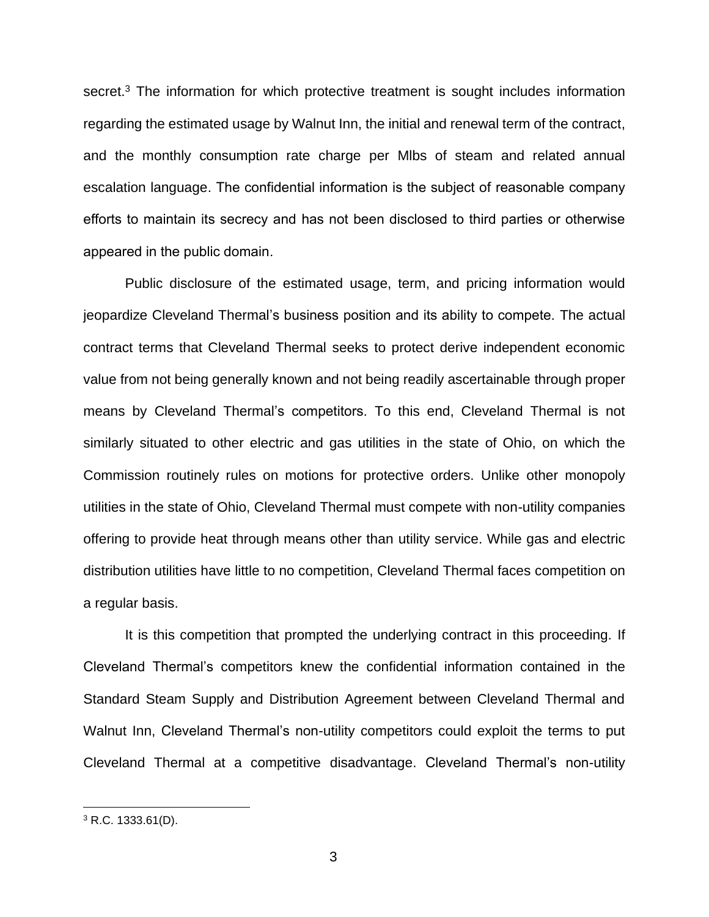secret.<sup>3</sup> The information for which protective treatment is sought includes information regarding the estimated usage by Walnut Inn, the initial and renewal term of the contract, and the monthly consumption rate charge per Mlbs of steam and related annual escalation language. The confidential information is the subject of reasonable company efforts to maintain its secrecy and has not been disclosed to third parties or otherwise appeared in the public domain.

Public disclosure of the estimated usage, term, and pricing information would jeopardize Cleveland Thermal's business position and its ability to compete. The actual contract terms that Cleveland Thermal seeks to protect derive independent economic value from not being generally known and not being readily ascertainable through proper means by Cleveland Thermal's competitors. To this end, Cleveland Thermal is not similarly situated to other electric and gas utilities in the state of Ohio, on which the Commission routinely rules on motions for protective orders. Unlike other monopoly utilities in the state of Ohio, Cleveland Thermal must compete with non-utility companies offering to provide heat through means other than utility service. While gas and electric distribution utilities have little to no competition, Cleveland Thermal faces competition on a regular basis.

It is this competition that prompted the underlying contract in this proceeding. If Cleveland Thermal's competitors knew the confidential information contained in the Standard Steam Supply and Distribution Agreement between Cleveland Thermal and Walnut Inn, Cleveland Thermal's non-utility competitors could exploit the terms to put Cleveland Thermal at a competitive disadvantage. Cleveland Thermal's non-utility

 $3$  R.C. 1333.61(D).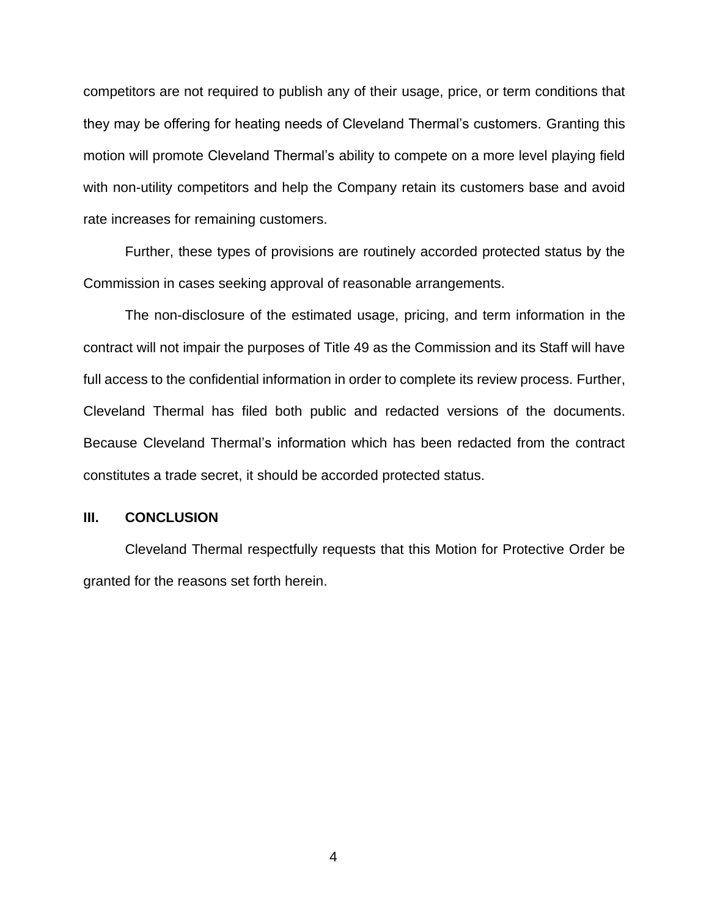competitors are not required to publish any of their usage, price, or term conditions that they may be offering for heating needs of Cleveland Thermal's customers. Granting this motion will promote Cleveland Thermal's ability to compete on a more level playing field with non-utility competitors and help the Company retain its customers base and avoid rate increases for remaining customers.

Further, these types of provisions are routinely accorded protected status by the Commission in cases seeking approval of reasonable arrangements.

The non-disclosure of the estimated usage, pricing, and term information in the contract will not impair the purposes of Title 49 as the Commission and its Staff will have full access to the confidential information in order to complete its review process. Further, Cleveland Thermal has filed both public and redacted versions of the documents. Because Cleveland Thermal's information which has been redacted from the contract constitutes a trade secret, it should be accorded protected status.

#### **III. CONCLUSION**

Cleveland Thermal respectfully requests that this Motion for Protective Order be granted for the reasons set forth herein.

4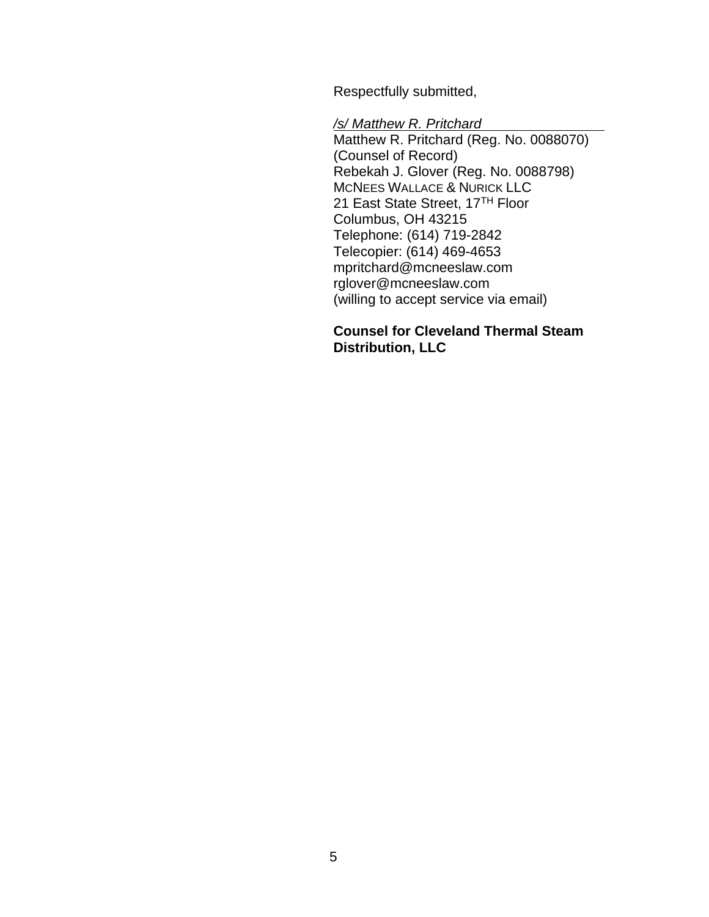Respectfully submitted,

*/s/ Matthew R. Pritchard*

Matthew R. Pritchard (Reg. No. 0088070) (Counsel of Record) Rebekah J. Glover (Reg. No. 0088798) MCNEES WALLACE & NURICK LLC 21 East State Street, 17<sup>TH</sup> Floor Columbus, OH 43215 Telephone: (614) 719-2842 Telecopier: (614) 469-4653 mpritchard@mcneeslaw.com rglover@mcneeslaw.com (willing to accept service via email)

## **Counsel for Cleveland Thermal Steam Distribution, LLC**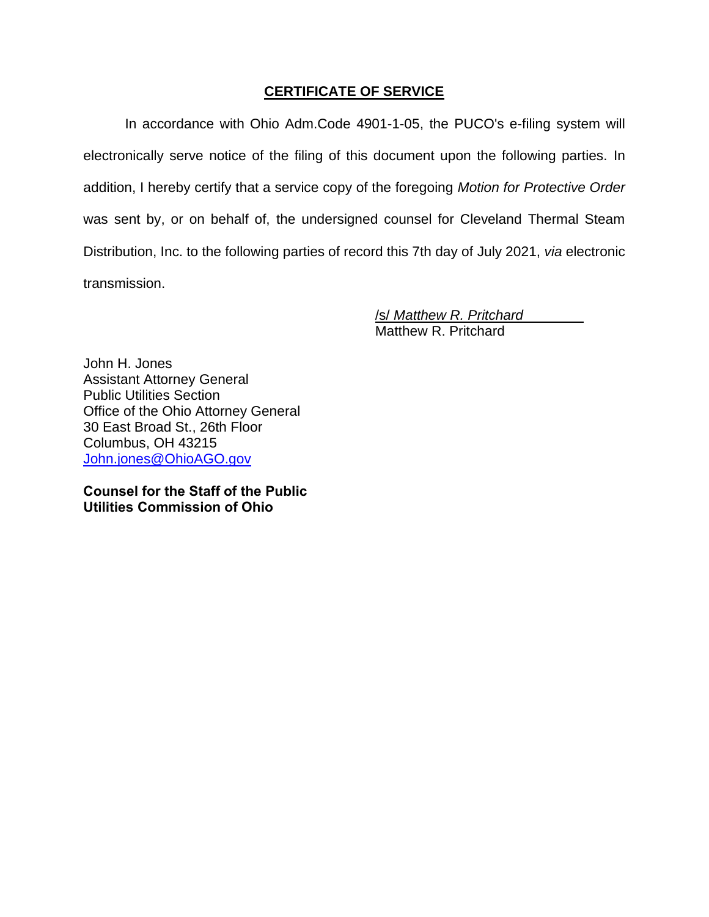# **CERTIFICATE OF SERVICE**

In accordance with Ohio Adm.Code 4901-1-05, the PUCO's e-filing system will electronically serve notice of the filing of this document upon the following parties. In addition, I hereby certify that a service copy of the foregoing *Motion for Protective Order* was sent by, or on behalf of, the undersigned counsel for Cleveland Thermal Steam Distribution, Inc. to the following parties of record this 7th day of July 2021, *via* electronic transmission.

> /s/ *Matthew R. Pritchard* Matthew R. Pritchard

John H. Jones Assistant Attorney General Public Utilities Section Office of the Ohio Attorney General 30 East Broad St., 26th Floor Columbus, OH 43215 [John.jones@OhioAGO.gov](mailto:John.jones@OhioAGO.gov)

**Counsel for the Staff of the Public Utilities Commission of Ohio**